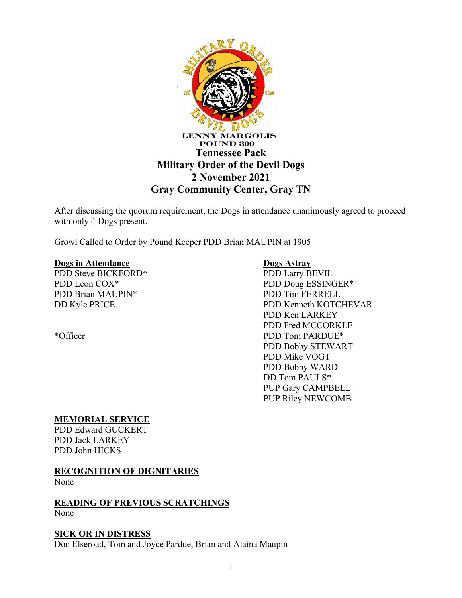

After discussing the quorum requirement, the Dogs in attendance unanimously agreed to proceed with only 4 Dogs present.

Growl Called to Order by Pound Keeper PDD Brian MAUPIN at 1905

#### **Dogs in Attendance**

PDD Steve BICKFORD\* PDD Leon COX\* PDD Brian MAUPIN\* DD Kyle PRICE

\*Officer

### **Dogs Astray**

PDD Larry BEVIL PDD Doug ESSINGER\* PDD Tim FERRELL PDD Kenneth KOTCHEVAR PDD Ken LARKEY PDD Fred MCCORKLE PDD Tom PARDUE\* PDD Bobby STEWART PDD Mike VOGT PDD Bobby WARD DD Tom PAULS\* PUP Gary CAMPBELL PUP Riley NEWCOMB

### **MEMORIAL SERVICE**

PDD Edward GUCKERT PDD Jack LARKEY PDD John HICKS

### **RECOGNITION OF DIGNITARIES**

None

#### **READING OF PREVIOUS SCRATCHINGS** None

## **SICK OR IN DISTRESS**

Don Elseroad, Tom and Joyce Pardue, Brian and Alaina Maupin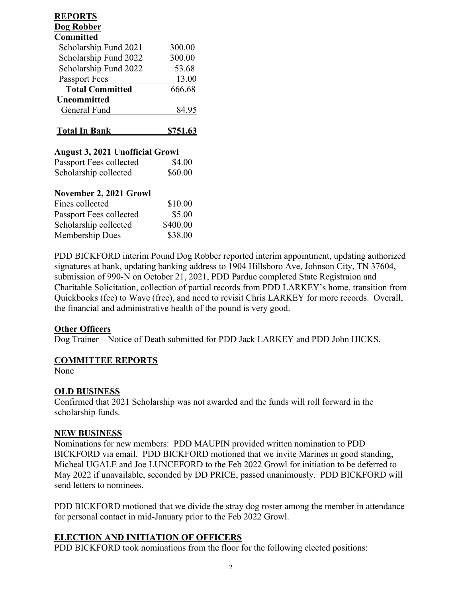| <b>REPORTS</b><br>Dog Robber           |                 |
|----------------------------------------|-----------------|
| <b>Committed</b>                       |                 |
| Scholarship Fund 2021                  | 300.00          |
| Scholarship Fund 2022                  | 300.00          |
| Scholarship Fund 2022                  | 53.68           |
| <b>Passport Fees</b>                   | 13.00           |
| <b>Total Committed</b>                 | 666.68          |
| Uncommitted                            |                 |
| General Fund                           | 84.95           |
|                                        |                 |
| <u>Total In Bank</u>                   | <u>\$751.63</u> |
| <b>August 3, 2021 Unofficial Growl</b> |                 |
| Passport Fees collected                | \$4.00          |
| Scholarship collected                  | \$60.00         |
| November 2, 2021 Growl                 |                 |
| Fines collected                        | \$10.00         |
| Passport Fees collected                | \$5.00          |
| Scholarship collected                  | \$400.00        |

PDD BICKFORD interim Pound Dog Robber reported interim appointment, updating authorized signatures at bank, updating banking address to 1904 Hillsboro Ave, Johnson City, TN 37604, submission of 990-N on October 21, 2021, PDD Pardue completed State Registraion and Charitable Solicitation, collection of partial records from PDD LARKEY's home, transition from Quickbooks (fee) to Wave (free), and need to revisit Chris LARKEY for more records. Overall, the financial and administrative health of the pound is very good.

### **Other Officers**

Dog Trainer – Notice of Death submitted for PDD Jack LARKEY and PDD John HICKS.

### **COMMITTEE REPORTS**

None

### **OLD BUSINESS**

Confirmed that 2021 Scholarship was not awarded and the funds will roll forward in the scholarship funds.

### **NEW BUSINESS**

Nominations for new members: PDD MAUPIN provided written nomination to PDD BICKFORD via email. PDD BICKFORD motioned that we invite Marines in good standing, Micheal UGALE and Joe LUNCEFORD to the Feb 2022 Growl for initiation to be deferred to May 2022 if unavailable, seconded by DD PRICE, passed unanimously. PDD BICKFORD will send letters to nominees.

PDD BICKFORD motioned that we divide the stray dog roster among the member in attendance for personal contact in mid-January prior to the Feb 2022 Growl.

### **ELECTION AND INITIATION OF OFFICERS**

PDD BICKFORD took nominations from the floor for the following elected positions: